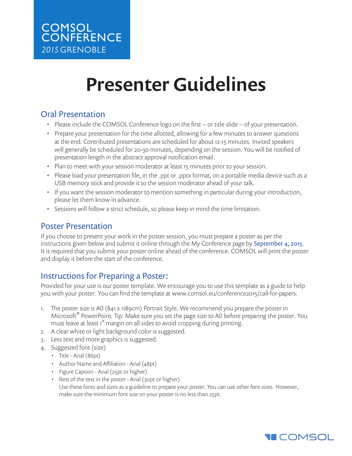## Presenter Guidelines

## Oral Presentation

- Please include the COMSOL Conference logo on the first or title slide of your presentation.
- Prepare your presentation for the time allotted, allowing for a few minutes to answer questions at the end. Contributed presentations are scheduled for about 12-15 minutes. Invited speakers will generally be scheduled for 20-30 minutes, depending on the session. You will be notified of presentation length in the abstract approval notification email.
- Plan to meet with your session moderator at least 15 minutes prior to your session.
- • Please load your presentation file, in the .ppt or .pptx format, on a portable media device such as a USB memory stick and provide it to the session moderator ahead of your talk.
- If you want the session moderator to mention something in particular during your introduction, please let them know in advance.
- Sessions will follow a strict schedule, so please keep in mind the time limitation.

## Poster Presentation

If you choose to present your work in the poster session, you must prepare a poster as per the instructions given below and submit it online through the My Conference page by September 4, 2015. It is required that you submit your poster online ahead of the conference. COMSOL will print the poster and display it before the start of the conference.

## Instructions for Preparing a Poster:

Provided for your use is our poster template. We encourage you to use this template as a guide to help you with your poster. You can find the template at www.comsol.eu/conference2015/call-for-papers.

- 1. The poster size is A0 (841 x 1189cm) Portrait Style. We recommend you prepare the poster in Microsoft<sup>®</sup> PowerPoint. Tip: Make sure you set the page size to A0 before preparing the poster. You must leave at least 1" margin on all sides to avoid cropping during printing.
- 2. A clear white or light background color is suggested.
- 3. Less text and more graphics is suggested.
- 4. Suggested font (size)
	- Title Arial (86pt)
	- Author Name and Affiliation Arial (48pt)
	- Figure Caption Arial (25pt or higher)
	- Rest of the text in the poster Arial (30pt or higher) Use these fonts and sizes as a guideline to prepare your poster. You can use other font sizes. However, make sure the minimum font size on your poster is no less than 25pt.